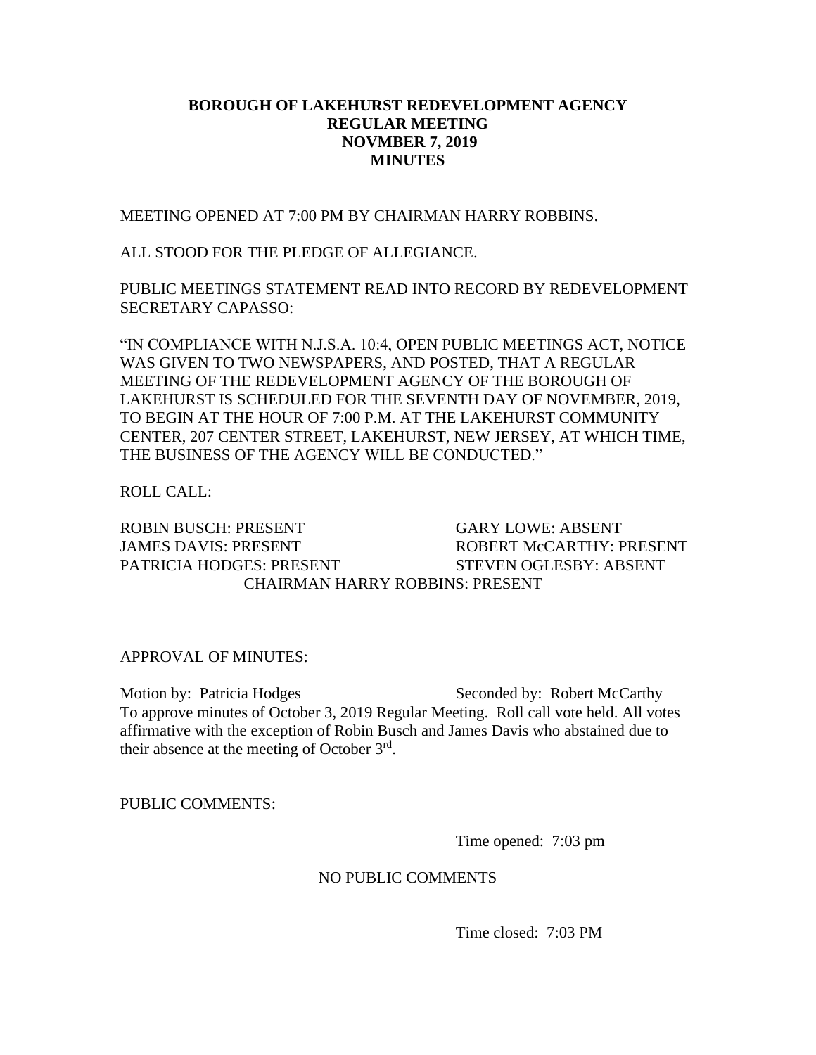## **BOROUGH OF LAKEHURST REDEVELOPMENT AGENCY REGULAR MEETING NOVMBER 7, 2019 MINUTES**

MEETING OPENED AT 7:00 PM BY CHAIRMAN HARRY ROBBINS.

ALL STOOD FOR THE PLEDGE OF ALLEGIANCE.

PUBLIC MEETINGS STATEMENT READ INTO RECORD BY REDEVELOPMENT SECRETARY CAPASSO:

"IN COMPLIANCE WITH N.J.S.A. 10:4, OPEN PUBLIC MEETINGS ACT, NOTICE WAS GIVEN TO TWO NEWSPAPERS, AND POSTED, THAT A REGULAR MEETING OF THE REDEVELOPMENT AGENCY OF THE BOROUGH OF LAKEHURST IS SCHEDULED FOR THE SEVENTH DAY OF NOVEMBER, 2019, TO BEGIN AT THE HOUR OF 7:00 P.M. AT THE LAKEHURST COMMUNITY CENTER, 207 CENTER STREET, LAKEHURST, NEW JERSEY, AT WHICH TIME, THE BUSINESS OF THE AGENCY WILL BE CONDUCTED."

ROLL CALL:

ROBIN BUSCH: PRESENT GARY LOWE: ABSENT JAMES DAVIS: PRESENT ROBERT McCARTHY: PRESENT PATRICIA HODGES: PRESENT STEVEN OGLESBY: ABSENT CHAIRMAN HARRY ROBBINS: PRESENT

APPROVAL OF MINUTES:

Motion by: Patricia Hodges Seconded by: Robert McCarthy To approve minutes of October 3, 2019 Regular Meeting. Roll call vote held. All votes affirmative with the exception of Robin Busch and James Davis who abstained due to their absence at the meeting of October 3<sup>rd</sup>.

PUBLIC COMMENTS:

Time opened: 7:03 pm

## NO PUBLIC COMMENTS

Time closed: 7:03 PM